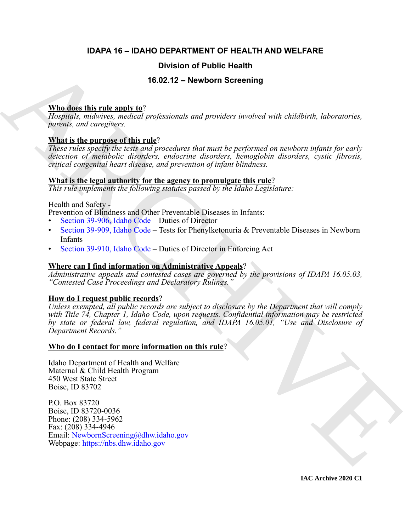# **IDAPA 16 – IDAHO DEPARTMENT OF HEALTH AND WELFARE**

# **Division of Public Health**

# **16.02.12 – Newborn Screening**

# **Who does this rule apply to**?

*Hospitals, midwives, medical professionals and providers involved with childbirth, laboratories, parents, and caregivers.*

# **What is the purpose of this rule**?

*These rules specify the tests and procedures that must be performed on newborn infants for early detection of metabolic disorders, endocrine disorders, hemoglobin disorders, cystic fibrosis, critical congenital heart disease, and prevention of infant blindness.*

# **What is the legal authority for the agency to promulgate this rule**?

*This rule implements the following statutes passed by the Idaho Legislature:*

# Health and Safety -

Prevention of Blindness and Other Preventable Diseases in Infants:

- Section 39-906, Idaho Code Duties of Director
- Section 39-909, Idaho Code Tests for Phenylketonuria & Preventable Diseases in Newborn Infants
- Section 39-910, Idaho Code Duties of Director in Enforcing Act

# **Where can I find information on Administrative Appeals**?

*Administrative appeals and contested cases are governed by the provisions of IDAPA 16.05.03, "Contested Case Proceedings and Declaratory Rulings."*

# **How do I request public records**?

**Division of Public Health**<br> **A[RC](https://legislature.idaho.gov/statutesrules/idstat/Title39/T39CH9/SECT39-906/)HIV[E](mailto: NewbornScreening@dhw.idaho.gov) THE SECTION CONSULTING THE SECTION (FORMATION CONSULTING THE SECTION OF SECTION (FORMATION CONSULTING THE SECTION CONSULTING THE SECTION (FORMATION CONSULTING THE SECTION CONSULTING T** *Unless exempted, all public records are subject to disclosure by the Department that will comply with Title 74, Chapter 1, Idaho Code, upon requests. Confidential information may be restricted by state or federal law, federal regulation, and IDAPA 16.05.01, "Use and Disclosure of Department Records."*

# **Who do I contact for more information on this rule**?

Idaho Department of Health and Welfare Maternal & Child Health Program 450 West State Street Boise, ID 83702

P.O. Box 83720 Boise, ID 83720-0036 Phone: (208) 334-5962 Fax: (208) 334-4946 Email: NewbornScreening@dhw.idaho.gov Webpage: https://nbs.dhw.idaho.gov

**IAC Archive 2020 C1**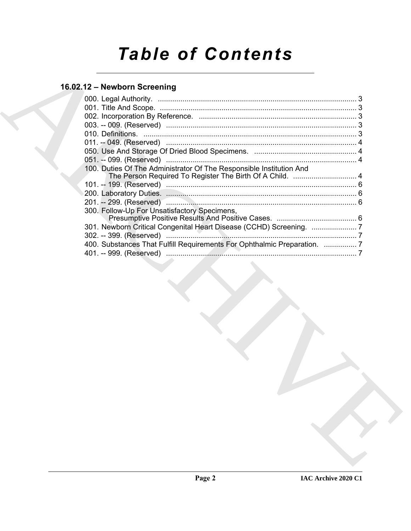# *Table of Contents*

# **16.02.12 – Newborn Screening**

| 100. Duties Of The Administrator Of The Responsible Institution And<br>300. Follow-Up For Unsatisfactory Specimens,<br>400. Substances That Fulfill Requirements For Ophthalmic Preparation.  7 |  |
|-------------------------------------------------------------------------------------------------------------------------------------------------------------------------------------------------|--|
|                                                                                                                                                                                                 |  |
|                                                                                                                                                                                                 |  |
|                                                                                                                                                                                                 |  |
|                                                                                                                                                                                                 |  |
|                                                                                                                                                                                                 |  |
|                                                                                                                                                                                                 |  |
|                                                                                                                                                                                                 |  |
|                                                                                                                                                                                                 |  |
|                                                                                                                                                                                                 |  |
|                                                                                                                                                                                                 |  |
|                                                                                                                                                                                                 |  |
|                                                                                                                                                                                                 |  |
|                                                                                                                                                                                                 |  |
|                                                                                                                                                                                                 |  |
|                                                                                                                                                                                                 |  |
|                                                                                                                                                                                                 |  |
|                                                                                                                                                                                                 |  |
|                                                                                                                                                                                                 |  |
|                                                                                                                                                                                                 |  |
|                                                                                                                                                                                                 |  |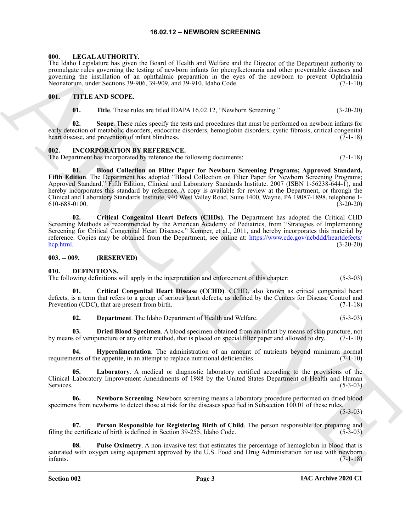# **16.02.12 – NEWBORN SCREENING**

#### <span id="page-2-15"></span><span id="page-2-1"></span><span id="page-2-0"></span>**000. LEGAL AUTHORITY.**

The Idaho Legislature has given the Board of Health and Welfare and the Director of the Department authority to promulgate rules governing the testing of newborn infants for phenylketonuria and other preventable diseases and governing the instillation of an ophthalmic preparation in the eyes of the newborn to prevent Ophthalmia Neonatorum, under Sections 39-906, 39-909, and 39-910, Idaho Code. (7-1-10)

# <span id="page-2-2"></span>**001. TITLE AND SCOPE.**

**01. Title**. These rules are titled IDAPA 16.02.12, "Newborn Screening." (3-20-20)

**02. Scope**. These rules specify the tests and procedures that must be performed on newborn infants for early detection of metabolic disorders, endocrine disorders, hemoglobin disorders, cystic fibrosis, critical congenital heart disease, and prevention of infant blindness. (7-1-18)

#### <span id="page-2-3"></span>**002. INCORPORATION BY REFERENCE.**

The Department has incorporated by reference the following documents: (7-1-18)

The Mode Legislation for an electron of the Mode and Weisher and the Discount of the Paymentan column response to the Mode Mode Legislation of the Model China China China China China China China China China China China Ch **01. Blood Collection on Filter Paper for Newborn Screening Programs; Approved Standard, Fifth Edition**. The Department has adopted "Blood Collection on Filter Paper for Newborn Screening Programs; Approved Standard," Fifth Edition, Clinical and Laboratory Standards Institute. 2007 (ISBN 1-56238-644-1), and hereby incorporates this standard by reference. A copy is available for review at the Department, or through the Clinical and Laboratory Standards Institute, 940 West Valley Road, Suite 1400, Wayne, PA 19087-1898, telephone 1- 610-688-0100. (3-20-20)

**02. Critical Congenital Heart Defects (CHDs)**. The Department has adopted the Critical CHD Screening Methods as recommended by the American Academy of Pediatrics, from "Strategies of Implementing Screening for Critical Congenital Heart Diseases," Kemper, et al., 2011, and hereby incorporates this material by reference. Copies may be obtained from the Department, see online at: https://www.cdc.gov/ncbddd/heartdefects/ hcp.html. (3-20-20)

#### <span id="page-2-4"></span>**003. -- 009. (RESERVED)**

#### <span id="page-2-6"></span><span id="page-2-5"></span>**010. DEFINITIONS.**

The following definitions will apply in the interpretation and enforcement of this chapter: (5-3-03)

**01. Critical Congenital Heart Disease (CCHD)**. CCHD, also known as critical congenital heart defects, is a term that refers to a group of serious heart defects, as defined by the Centers for Disease Control and Prevention (CDC), that are present from birth. (7-1-18)

<span id="page-2-10"></span><span id="page-2-9"></span><span id="page-2-8"></span><span id="page-2-7"></span>**02. Department**. The Idaho Department of Health and Welfare. (5-3-03)

**03. Dried Blood Specimen**. A blood specimen obtained from an infant by means of skin puncture, not so f venipuncture or any other method, that is placed on special filter paper and allowed to dry. (7-1-10) by means of venipuncture or any other method, that is placed on special filter paper and allowed to dry.

**Hyperalimentation**. The administration of an amount of nutrients beyond minimum normal requirements of the appetite, in an attempt to replace nutritional deficiencies. (7-1-10)

<span id="page-2-11"></span>**05. Laboratory**. A medical or diagnostic laboratory certified according to the provisions of the Clinical Laboratory Improvement Amendments of 1988 by the United States Department of Health and Human Services. (5-3-03)

<span id="page-2-12"></span>**06. Newborn Screening**. Newborn screening means a laboratory procedure performed on dried blood specimens from newborns to detect those at risk for the diseases specified in Subsection 100.01 of these rules.

 $(5-3-03)$ 

<span id="page-2-13"></span>**07. Person Responsible for Registering Birth of Child**. The person responsible for preparing and filing the certificate of birth is defined in Section 39-255, Idaho Code. (5-3-03)

<span id="page-2-14"></span>**08. Pulse Oximetry**. A non-invasive test that estimates the percentage of hemoglobin in blood that is saturated with oxygen using equipment approved by the U.S. Food and Drug Administration for use with newborn infants. (7-1-18) infants. (7-1-18)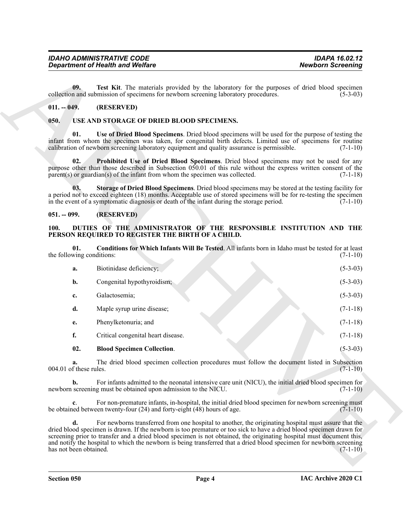# <span id="page-3-4"></span><span id="page-3-0"></span>**011. -- 049. (RESERVED)**

# <span id="page-3-11"></span><span id="page-3-9"></span><span id="page-3-8"></span><span id="page-3-1"></span>**050. USE AND STORAGE OF DRIED BLOOD SPECIMENS.**

# <span id="page-3-10"></span><span id="page-3-2"></span>**051. -- 099. (RESERVED)**

# <span id="page-3-7"></span><span id="page-3-6"></span><span id="page-3-5"></span><span id="page-3-3"></span>**100. DUTIES OF THE ADMINISTRATOR OF THE RESPONSIBLE INSTITUTION AND THE PERSON REQUIRED TO REGISTER THE BIRTH OF A CHILD.**

|                                  | <b>Department of Health and Welfare</b>                                                                                                                                                                                                                                                                                                                                                                                                                                    | <b>Newborn Screening</b> |
|----------------------------------|----------------------------------------------------------------------------------------------------------------------------------------------------------------------------------------------------------------------------------------------------------------------------------------------------------------------------------------------------------------------------------------------------------------------------------------------------------------------------|--------------------------|
| 09.                              | Test Kit. The materials provided by the laboratory for the purposes of dried blood specimen<br>collection and submission of specimens for newborn screening laboratory procedures.                                                                                                                                                                                                                                                                                         | $(5-3-03)$               |
| $011. - 049.$                    | (RESERVED)                                                                                                                                                                                                                                                                                                                                                                                                                                                                 |                          |
| 050.                             | USE AND STORAGE OF DRIED BLOOD SPECIMENS.                                                                                                                                                                                                                                                                                                                                                                                                                                  |                          |
| 01.                              | Use of Dried Blood Specimens. Dried blood specimens will be used for the purpose of testing the<br>infant from whom the specimen was taken, for congenital birth defects. Limited use of specimens for routine<br>calibration of newborn screening laboratory equipment and quality assurance is permissible.                                                                                                                                                              | $(7-1-10)$               |
| 02.                              | Prohibited Use of Dried Blood Specimens. Dried blood specimens may not be used for any<br>purpose other than those described in Subsection 050.01 of this rule without the express written consent of the<br>$parent(s)$ or guardian(s) of the infant from whom the specimen was collected.                                                                                                                                                                                | $(7-1-18)$               |
| 03.                              | Storage of Dried Blood Specimens. Dried blood specimens may be stored at the testing facility for<br>a period not to exceed eighteen (18) months. Acceptable use of stored specimens will be for re-testing the specimen<br>in the event of a symptomatic diagnosis or death of the infant during the storage period.                                                                                                                                                      | $(7-1-10)$               |
| $051. - 099.$                    | (RESERVED)                                                                                                                                                                                                                                                                                                                                                                                                                                                                 |                          |
| 100.                             | DUTIES OF THE ADMINISTRATOR OF THE RESPONSIBLE INSTITUTION AND THE<br>PERSON REQUIRED TO REGISTER THE BIRTH OF A CHILD.                                                                                                                                                                                                                                                                                                                                                    |                          |
| 01.<br>the following conditions: | Conditions for Which Infants Will Be Tested. All infants born in Idaho must be tested for at least                                                                                                                                                                                                                                                                                                                                                                         | $(7-1-10)$               |
| a.                               | Biotinidase deficiency;                                                                                                                                                                                                                                                                                                                                                                                                                                                    | $(5-3-03)$               |
| b.                               | Congenital hypothyroidism;                                                                                                                                                                                                                                                                                                                                                                                                                                                 | $(5-3-03)$               |
| c.                               | Galactosemia;                                                                                                                                                                                                                                                                                                                                                                                                                                                              | $(5-3-03)$               |
| d.                               | Maple syrup urine disease;                                                                                                                                                                                                                                                                                                                                                                                                                                                 | $(7-1-18)$               |
| e.                               | Phenylketonuria; and                                                                                                                                                                                                                                                                                                                                                                                                                                                       | $(7-1-18)$               |
| f.                               | Critical congenital heart disease.                                                                                                                                                                                                                                                                                                                                                                                                                                         | $(7-1-18)$               |
| 02.                              | <b>Blood Specimen Collection.</b>                                                                                                                                                                                                                                                                                                                                                                                                                                          | $(5-3-03)$               |
| a.<br>004.01 of these rules.     | The dried blood specimen collection procedures must follow the document listed in Subsection                                                                                                                                                                                                                                                                                                                                                                               | $(7-1-10)$               |
| b.                               | For infants admitted to the neonatal intensive care unit (NICU), the initial dried blood specimen for<br>newborn screening must be obtained upon admission to the NICU.                                                                                                                                                                                                                                                                                                    | $(7-1-10)$               |
| c.                               | For non-premature infants, in-hospital, the initial dried blood specimen for newborn screening must<br>be obtained between twenty-four (24) and forty-eight (48) hours of age.                                                                                                                                                                                                                                                                                             | $(7-1-10)$               |
| d.<br>has not been obtained.     | For newborns transferred from one hospital to another, the originating hospital must assure that the<br>dried blood specimen is drawn. If the newborn is too premature or too sick to have a dried blood specimen drawn for<br>screening prior to transfer and a dried blood specimen is not obtained, the originating hospital must document this,<br>and notify the hospital to which the newborn is being transferred that a dried blood specimen for newborn screening | $(7-1-10)$               |
|                                  |                                                                                                                                                                                                                                                                                                                                                                                                                                                                            |                          |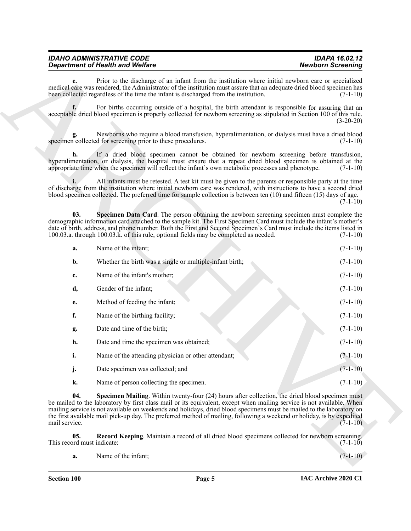<span id="page-4-2"></span><span id="page-4-1"></span><span id="page-4-0"></span>

| <b>IDAHO ADMINISTRATIVE CODE</b>        | <b>IDAPA 16.02.12</b>    |
|-----------------------------------------|--------------------------|
| <b>Department of Health and Welfare</b> | <b>Newborn Screening</b> |

|                                   | <b>Department of Health and Welfare</b>                                                                                                                                                                                                                                                                                                                                                                                                                                    | <b>Newborn Screening</b> |
|-----------------------------------|----------------------------------------------------------------------------------------------------------------------------------------------------------------------------------------------------------------------------------------------------------------------------------------------------------------------------------------------------------------------------------------------------------------------------------------------------------------------------|--------------------------|
| е.                                | Prior to the discharge of an infant from the institution where initial newborn care or specialized<br>medical care was rendered, the Administrator of the institution must assure that an adequate dried blood specimen has<br>been collected regardless of the time the infant is discharged from the institution.                                                                                                                                                        | $(7-1-10)$               |
|                                   | For births occurring outside of a hospital, the birth attendant is responsible for assuring that an<br>acceptable dried blood specimen is properly collected for newborn screening as stipulated in Section 100 of this rule.                                                                                                                                                                                                                                              | $(3-20-20)$              |
| g.                                | Newborns who require a blood transfusion, hyperalimentation, or dialysis must have a dried blood<br>specimen collected for screening prior to these procedures.                                                                                                                                                                                                                                                                                                            | $(7-1-10)$               |
| h.                                | If a dried blood specimen cannot be obtained for newborn screening before transfusion,<br>hyperalimentation, or dialysis, the hospital must ensure that a repeat dried blood specimen is obtained at the<br>appropriate time when the specimen will reflect the infant's own metabolic processes and phenotype.                                                                                                                                                            | $(7-1-10)$               |
|                                   | All infants must be retested. A test kit must be given to the parents or responsible party at the time<br>of discharge from the institution where initial newborn care was rendered, with instructions to have a second dried<br>blood specimen collected. The preferred time for sample collection is between ten (10) and fifteen (15) days of age.                                                                                                                      | $(7-1-10)$               |
| 03.                               | Specimen Data Card. The person obtaining the newborn screening specimen must complete the<br>demographic information card attached to the sample kit. The First Specimen Card must include the infant's mother's<br>date of birth, address, and phone number. Both the First and Second Specimen's Card must include the items listed in<br>100.03.a. through 100.03.k. of this rule, optional fields may be completed as needed.                                          | $(7-1-10)$               |
| a.                                | Name of the infant;                                                                                                                                                                                                                                                                                                                                                                                                                                                        | $(7-1-10)$               |
| b.                                | Whether the birth was a single or multiple-infant birth;                                                                                                                                                                                                                                                                                                                                                                                                                   | $(7-1-10)$               |
| c.                                | Name of the infant's mother;                                                                                                                                                                                                                                                                                                                                                                                                                                               | $(7-1-10)$               |
| d,                                | Gender of the infant;                                                                                                                                                                                                                                                                                                                                                                                                                                                      | $(7-1-10)$               |
| e.                                | Method of feeding the infant;                                                                                                                                                                                                                                                                                                                                                                                                                                              | $(7-1-10)$               |
| f.                                | Name of the birthing facility;                                                                                                                                                                                                                                                                                                                                                                                                                                             | $(7-1-10)$               |
| g.                                | Date and time of the birth;                                                                                                                                                                                                                                                                                                                                                                                                                                                | $(7-1-10)$               |
| h.                                | Date and time the specimen was obtained;                                                                                                                                                                                                                                                                                                                                                                                                                                   | $(7-1-10)$               |
| i.                                | Name of the attending physician or other attendant;                                                                                                                                                                                                                                                                                                                                                                                                                        | $(7-1-10)$               |
| j.                                | Date specimen was collected; and                                                                                                                                                                                                                                                                                                                                                                                                                                           | $(7-1-10)$               |
| k.                                | Name of person collecting the specimen.                                                                                                                                                                                                                                                                                                                                                                                                                                    | $(7-1-10)$               |
| 04.<br>mail service.              | Specimen Mailing. Within twenty-four (24) hours after collection, the dried blood specimen must<br>be mailed to the laboratory by first class mail or its equivalent, except when mailing service is not available. When<br>mailing service is not available on weekends and holidays, dried blood specimens must be mailed to the laboratory on<br>the first available mail pick-up day. The preferred method of mailing, following a weekend or holiday, is by expedited | $(7-1-10)$               |
| 05.<br>This record must indicate: | Record Keeping. Maintain a record of all dried blood specimens collected for newborn screening.                                                                                                                                                                                                                                                                                                                                                                            | $(7-1-10)$               |
| a.                                | Name of the infant;                                                                                                                                                                                                                                                                                                                                                                                                                                                        | $(7-1-10)$               |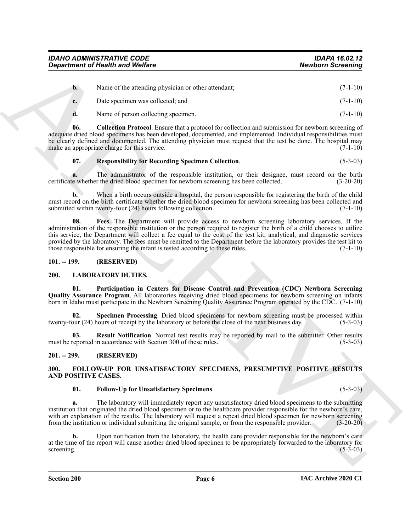*Department of Health and Welfare* 

| $\mathbf{b}$ | Name of the attending physician or other attendant; | $(7-1-10)$ |
|--------------|-----------------------------------------------------|------------|
| $c_{\cdot}$  | Date specimen was collected; and                    | $(7-1-10)$ |
|              |                                                     |            |

<span id="page-5-4"></span>**d.** Name of person collecting specimen. (7-1-10)

**06. Collection Protocol**. Ensure that a protocol for collection and submission for newborn screening of adequate dried blood specimens has been developed, documented, and implemented. Individual responsibilities must be clearly defined and documented. The attending physician must request that the test be done. The hospital may make an appropriate charge for this service. (7-1-10)

# <span id="page-5-6"></span>**07. Responsibility for Recording Specimen Collection**. (5-3-03)

**a.** The administrator of the responsible institution, or their designee, must record on the birth certificate whether the dried blood specimen for newborn screening has been collected. (3-20-20)

<span id="page-5-5"></span>**b.** When a birth occurs outside a hospital, the person responsible for registering the birth of the child must record on the birth certificate whether the dried blood specimen for newborn screening has been collected and submitted within twenty-four  $(24)$  hours following collection.  $(7-1-10)$ 

**Equivariant of Nealth were Welfare**<br> **A Example the studient and Welfare**<br> **A** Example the studient and control the studient term is a studient of the studient of the studient of the studient of the studient of the studi **08. Fees**. The Department will provide access to newborn screening laboratory services. If the administration of the responsible institution or the person required to register the birth of a child chooses to utilize this service, the Department will collect a fee equal to the cost of the test kit, analytical, and diagnostic services provided by the laboratory. The fees must be remitted to the Department before the laboratory provides the test kit to those responsible for ensuring the infant is tested according to these rules. (7-1-10)

# <span id="page-5-0"></span>**101. -- 199. (RESERVED)**

# <span id="page-5-9"></span><span id="page-5-1"></span>**200. LABORATORY DUTIES.**

<span id="page-5-10"></span>**01. Participation in Centers for Disease Control and Prevention (CDC) Newborn Screening Quality Assurance Program**. All laboratories receiving dried blood specimens for newborn screening on infants born in Idaho must participate in the Newborn Screening Quality Assurance Program operated by the CDC. (7-1-10)

<span id="page-5-12"></span>**02. Specimen Processing**. Dried blood specimens for newborn screening must be processed within twenty-four (24) hours of receipt by the laboratory or before the close of the next business day. (5-3-03)

<span id="page-5-11"></span>**03. Result Notification**. Normal test results may be reported by mail to the submitter. Other results must be reported in accordance with Section 300 of these rules. (5-3-03)

# <span id="page-5-2"></span>**201. -- 299. (RESERVED)**

# <span id="page-5-7"></span><span id="page-5-3"></span>**300. FOLLOW-UP FOR UNSATISFACTORY SPECIMENS, PRESUMPTIVE POSITIVE RESULTS AND POSITIVE CASES.**

# <span id="page-5-8"></span>**01. Follow-Up for Unsatisfactory Specimens**. (5-3-03)

**a.** The laboratory will immediately report any unsatisfactory dried blood specimens to the submitting institution that originated the dried blood specimen or to the healthcare provider responsible for the newborn's care, with an explanation of the results. The laboratory will request a repeat dried blood specimen for newborn screening from the institution or individual submitting the original sample, or from the responsible provider. (3-20-20)

**b.** Upon notification from the laboratory, the health care provider responsible for the newborn's care at the time of the report will cause another dried blood specimen to be appropriately forwarded to the laboratory for screening.  $(5-3-03)$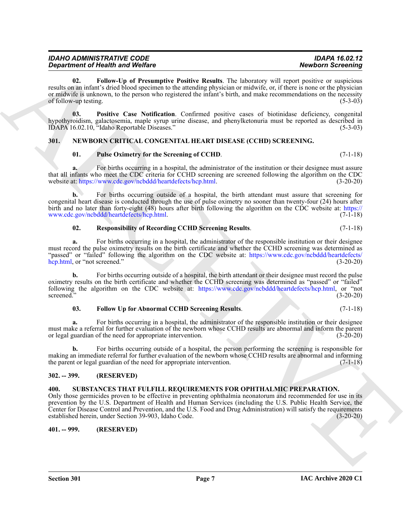| <b>IDAHO ADMINISTRATIVE CODE</b> | <b>IDAPA 16.02.12</b>    |
|----------------------------------|--------------------------|
| Department of Health and Welfare | <b>Newborn Screening</b> |

<span id="page-6-4"></span>**02. Follow-Up of Presumptive Positive Results**. The laboratory will report positive or suspicious results on an infant's dried blood specimen to the attending physician or midwife, or, if there is none or the physician or midwife is unknown, to the person who registered the infant's birth, and make recommendations on the necessity of follow-up testing. (5-3-03)

<span id="page-6-5"></span>**03. Positive Case Notification**. Confirmed positive cases of biotinidase deficiency, congenital hypothyroidism, galactosemia, maple syrup urine disease, and phenylketonuria must be reported as described in IDAPA 16.02.10, "Idaho Reportable Diseases." (5-3-03)

# <span id="page-6-0"></span>**301. NEWBORN CRITICAL CONGENITAL HEART DISEASE (CCHD) SCREENING.**

# <span id="page-6-9"></span><span id="page-6-7"></span>**01. Pulse Oximetry for the Screening of CCHD**. (7-1-18)

For births occurring in a hospital, the administrator of the institution or their designee must assure that all infants who meet the CDC criteria for CCHD screening are screened following the algorithm on the CDC<br>website at: https://www.cdc.gov/ncbddd/heartdefects/hcp.html. (3-20-20) website at: https://www.cdc.gov/ncbddd/heartdefects/hcp.html.

**b.** For births occurring outside of a hospital, the birth attendant must assure that screening for congenital heart disease is conducted through the use of pulse oximetry no sooner than twenty-four (24) hours after birth and no later than forty-eight (48) hours after birth following the algorithm on the CDC website at: https:// www.cdc.gov/ncbddd/heartdefects/hcp.html. (7-1-18)

<span id="page-6-8"></span>

| 02. | <b>Responsibility of Recording CCHD Screening Results.</b> | $(7-1-18)$ |
|-----|------------------------------------------------------------|------------|
|     |                                                            |            |

**a.** For births occurring in a hospital, the administrator of the responsible institution or their designee must record the pulse oximetry results on the birth certificate and whether the CCHD screening was determined as "passed" or "failed" following the algorithm on the CDC website at: https://www.cdc.gov/ncbddd/heartdefects/<br>hcp.html, or "not screened." (3-20-20) hcp.html, or "not screened."

**b.** For births occurring outside of a hospital, the birth attendant or their designee must record the pulse oximetry results on the birth certificate and whether the CCHD screening was determined as "passed" or "failed" following the algorithm on the CDC website at: https://www.cdc.gov/ncbddd/heartdefects/hcp.html, or "not screened." (3-20-20)

#### <span id="page-6-6"></span>**03. Follow Up for Abnormal CCHD Screening Results**. (7-1-18)

**a.** For births occurring in a hospital, the administrator of the responsible institution or their designee must make a referral for further evaluation of the newborn whose CCHD results are abnormal and inform the parent or legal guardian of the need for appropriate intervention. (3-20-20)

**b.** For births occurring outside of a hospital, the person performing the screening is responsible for making an immediate referral for further evaluation of the newborn whose CCHD results are abnormal and informing the parent or legal guardian of the need for appropriate intervention. (7-1-18)

# <span id="page-6-10"></span><span id="page-6-2"></span><span id="page-6-1"></span>**302. -- 399. (RESERVED)**

# **Equivalent of New York Correlation** Equivalent Particle Results. The London of New York Correlation School of New York Correlation Correlation Correlation (18) and the University of New York Correlation Correlation Corre **400. SUBSTANCES THAT FULFILL REQUIREMENTS FOR OPHTHALMIC PREPARATION.** Only those germicides proven to be effective in preventing ophthalmia neonatorum and recommended for use in its prevention by the U.S. Department of Health and Human Services (including the U.S. Public Health Service, the Center for Disease Control and Prevention, and the U.S. Food and Drug Administration) will satisfy the requirements established herein, under Section 39-903, Idaho Code. (3-20-20)

# <span id="page-6-3"></span>**401. -- 999. (RESERVED)**